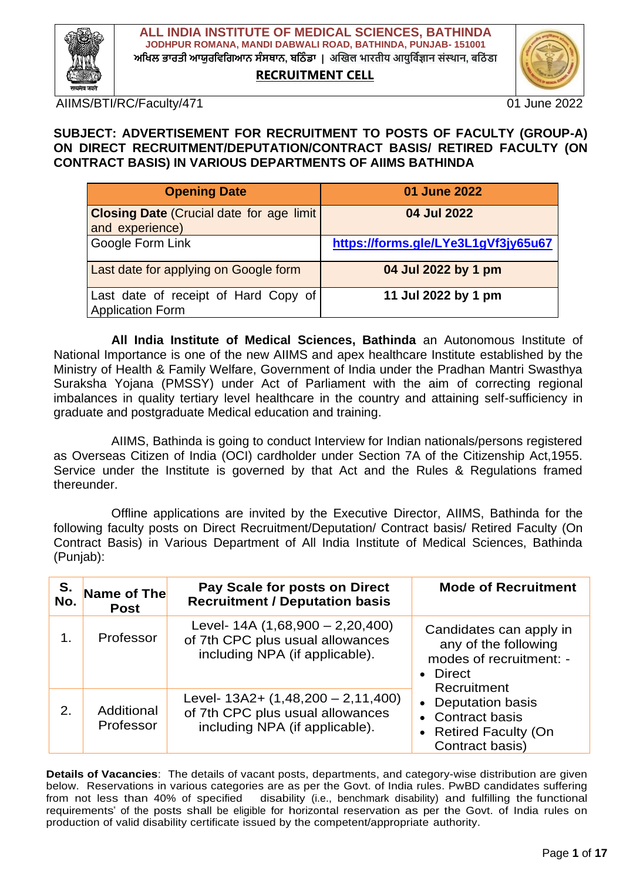

**RECRUITMENT CELL**



AIIMS/BTI/RC/Faculty/471 01 01 June 2022

#### **SUBJECT: ADVERTISEMENT FOR RECRUITMENT TO POSTS OF FACULTY (GROUP-A) ON DIRECT RECRUITMENT/DEPUTATION/CONTRACT BASIS/ RETIRED FACULTY (ON CONTRACT BASIS) IN VARIOUS DEPARTMENTS OF AIIMS BATHINDA**

| <b>Opening Date</b>                                                 | 01 June 2022                        |
|---------------------------------------------------------------------|-------------------------------------|
| <b>Closing Date (Crucial date for age limit)</b><br>and experience) | 04 Jul 2022                         |
| Google Form Link                                                    | https://forms.gle/LYe3L1gVf3jy65u67 |
| Last date for applying on Google form                               | 04 Jul 2022 by 1 pm                 |
| Last date of receipt of Hard Copy of<br><b>Application Form</b>     | 11 Jul 2022 by 1 pm                 |

**All India Institute of Medical Sciences, Bathinda** an Autonomous Institute of National Importance is one of the new AIIMS and apex healthcare Institute established by the Ministry of Health & Family Welfare, Government of India under the Pradhan Mantri Swasthya Suraksha Yojana (PMSSY) under Act of Parliament with the aim of correcting regional imbalances in quality tertiary level healthcare in the country and attaining self-sufficiency in graduate and postgraduate Medical education and training.

AIIMS, Bathinda is going to conduct Interview for Indian nationals/persons registered as Overseas Citizen of India (OCI) cardholder under Section 7A of the Citizenship Act,1955. Service under the Institute is governed by that Act and the Rules & Regulations framed thereunder.

Offline applications are invited by the Executive Director, AIIMS, Bathinda for the following faculty posts on Direct Recruitment/Deputation/ Contract basis/ Retired Faculty (On Contract Basis) in Various Department of All India Institute of Medical Sciences, Bathinda (Punjab):

| S.<br>No. | Name of The<br><b>Post</b> | Pay Scale for posts on Direct<br><b>Recruitment / Deputation basis</b>                                      | <b>Mode of Recruitment</b>                                                                                             |
|-----------|----------------------------|-------------------------------------------------------------------------------------------------------------|------------------------------------------------------------------------------------------------------------------------|
| 1.        | Professor                  | Level- $14A(1,68,900 - 2,20,400)$<br>of 7th CPC plus usual allowances<br>including NPA (if applicable).     | Candidates can apply in<br>any of the following<br>modes of recruitment: -<br>Direct<br>$\bullet$<br>Recruitment       |
| 2.        | Additional<br>Professor    | Level- $13A2 + (1,48,200 - 2,11,400)$<br>of 7th CPC plus usual allowances<br>including NPA (if applicable). | <b>Deputation basis</b><br>$\bullet$<br>• Contract basis<br><b>Retired Faculty (On</b><br>$\bullet$<br>Contract basis) |

**Details of Vacancies**: The details of vacant posts, departments, and category-wise distribution are given below. Reservations in various categories are as per the Govt. of India rules. PwBD candidates suffering from not less than 40% of specified disability (i.e., benchmark disability) and fulfilling the functional requirements" of the posts shall be eligible for horizontal reservation as per the Govt. of India rules on production of valid disability certificate issued by the competent/appropriate authority.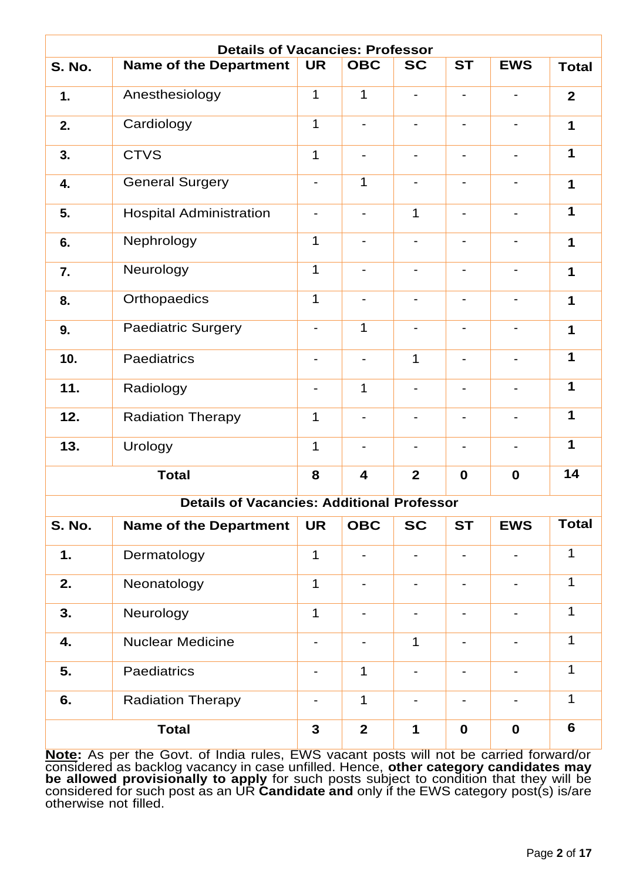| <b>Details of Vacancies: Professor</b> |                                                   |                          |                              |                          |                          |                              |              |
|----------------------------------------|---------------------------------------------------|--------------------------|------------------------------|--------------------------|--------------------------|------------------------------|--------------|
| <b>S. No.</b>                          | <b>Name of the Department</b>                     | <b>UR</b>                | <b>OBC</b>                   | <b>SC</b>                | <b>ST</b>                | <b>EWS</b>                   | <b>Total</b> |
| 1.                                     | Anesthesiology                                    | $\mathbf{1}$             | 1                            |                          |                          |                              | $\mathbf{2}$ |
| 2.                                     | Cardiology                                        | $\mathbf{1}$             | $\overline{\phantom{a}}$     | $\overline{\phantom{a}}$ | $\overline{\phantom{a}}$ | $\qquad \qquad \blacksquare$ | 1            |
| 3.                                     | <b>CTVS</b>                                       | $\mathbf 1$              | $\qquad \qquad \blacksquare$ |                          |                          |                              | 1            |
| 4.                                     | <b>General Surgery</b>                            |                          | 1                            |                          |                          |                              | 1            |
| 5.                                     | <b>Hospital Administration</b>                    | $\overline{\phantom{a}}$ | $\overline{\phantom{a}}$     | 1                        | $\overline{\phantom{a}}$ | $\overline{a}$               | 1            |
| 6.                                     | Nephrology                                        | $\mathbf 1$              |                              |                          |                          |                              | 1            |
| 7.                                     | Neurology                                         | $\mathbf 1$              |                              |                          |                          |                              | 1            |
| 8.                                     | Orthopaedics                                      | $\mathbf 1$              | $\overline{\phantom{a}}$     | $\overline{\phantom{a}}$ | $\blacksquare$           | $\qquad \qquad \blacksquare$ | 1            |
| 9.                                     | Paediatric Surgery                                | $\overline{\phantom{a}}$ | $\mathbf{1}$                 |                          |                          |                              | 1            |
| 10.                                    | Paediatrics                                       |                          |                              | 1                        |                          |                              | 1            |
| 11.                                    | Radiology                                         | $\overline{\phantom{a}}$ | $\mathbf{1}$                 |                          | $\blacksquare$           |                              | 1            |
| 12.                                    | <b>Radiation Therapy</b>                          | $\mathbf 1$              | $\overline{\phantom{a}}$     |                          | $\overline{\phantom{a}}$ |                              | 1            |
| 13.                                    | Urology                                           | $\mathbf 1$              |                              |                          |                          |                              | 1            |
|                                        | <b>Total</b>                                      | 8                        | $\overline{\mathbf{4}}$      | $\mathbf{2}$             | $\mathbf 0$              | $\mathbf 0$                  | 14           |
|                                        | <b>Details of Vacancies: Additional Professor</b> |                          |                              |                          |                          |                              |              |
| <b>S. No.</b>                          | <b>Name of the Department</b>                     | <b>UR</b>                | <b>OBC</b>                   | <b>SC</b>                | <b>ST</b>                | <b>EWS</b>                   | <b>Total</b> |
| 1.                                     | Dermatology                                       | $\mathbf 1$              | $\overline{\phantom{a}}$     |                          | $\overline{\phantom{a}}$ | $\qquad \qquad \blacksquare$ | 1            |
| 2.                                     | Neonatology                                       | $\mathbf 1$              |                              | $\blacksquare$           | $\blacksquare$           |                              | $\mathbf 1$  |
| 3.                                     | Neurology                                         | $\mathbf 1$              | $\overline{\phantom{a}}$     |                          | $\overline{\phantom{a}}$ | -                            | $\mathbf 1$  |
| 4.                                     | <b>Nuclear Medicine</b>                           | $\overline{\phantom{a}}$ |                              | 1                        | $\overline{\phantom{a}}$ |                              | 1            |
| 5.                                     | Paediatrics                                       | $\overline{\phantom{a}}$ | $\mathbf{1}$                 | $\overline{\phantom{a}}$ | $\overline{\phantom{a}}$ | $\qquad \qquad \blacksquare$ | 1            |
| 6.<br><b>Radiation Therapy</b>         |                                                   |                          | $\mathbf{1}$                 | $\blacksquare$           | $\overline{\phantom{a}}$ | $\qquad \qquad \blacksquare$ | $\mathbf 1$  |
|                                        | <b>Total</b>                                      | $\mathbf{3}$             | $\mathbf{2}$                 | 1                        | $\mathbf 0$              | $\mathbf 0$                  | 6            |

**Note:** As per the Govt. of India rules, EWS vacant posts will not be carried forward/or considered as backlog vacancy in case unfilled. Hence, **other category candidates may be allowed provisionally to apply** for such posts subject to condition that they will be considered for such post as an UR **Candidate and** only if the EWS category post(s) is/are otherwise not filled.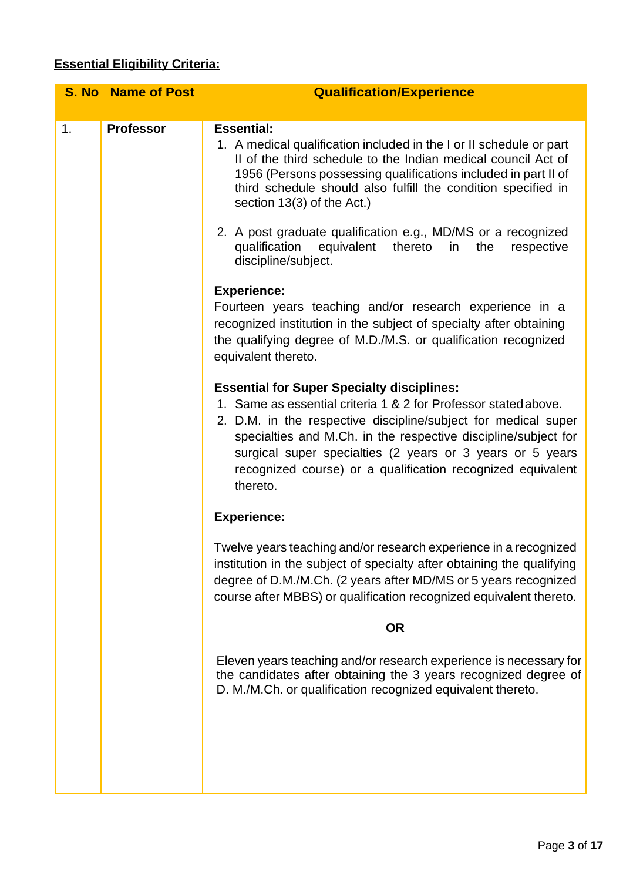# **Essential Eligibility Criteria:**

|    | <b>S. No Name of Post</b> | <b>Qualification/Experience</b>                                                                                                                                                                                                                                                                                                                                                                                                                                                                                                                                                                                                                                                                                                                                                                                                                                                                                                                                                                                                                                                                                                                                                                                                                                                                                                                                                                                                                                                                                                           |
|----|---------------------------|-------------------------------------------------------------------------------------------------------------------------------------------------------------------------------------------------------------------------------------------------------------------------------------------------------------------------------------------------------------------------------------------------------------------------------------------------------------------------------------------------------------------------------------------------------------------------------------------------------------------------------------------------------------------------------------------------------------------------------------------------------------------------------------------------------------------------------------------------------------------------------------------------------------------------------------------------------------------------------------------------------------------------------------------------------------------------------------------------------------------------------------------------------------------------------------------------------------------------------------------------------------------------------------------------------------------------------------------------------------------------------------------------------------------------------------------------------------------------------------------------------------------------------------------|
| 1. | <b>Professor</b>          | <b>Essential:</b><br>1. A medical qualification included in the I or II schedule or part<br>If of the third schedule to the Indian medical council Act of<br>1956 (Persons possessing qualifications included in part II of<br>third schedule should also fulfill the condition specified in<br>section 13(3) of the Act.)<br>2. A post graduate qualification e.g., MD/MS or a recognized<br>equivalent<br>thereto<br>qualification<br>the<br>respective<br>in<br>discipline/subject.<br><b>Experience:</b><br>Fourteen years teaching and/or research experience in a<br>recognized institution in the subject of specialty after obtaining<br>the qualifying degree of M.D./M.S. or qualification recognized<br>equivalent thereto.<br><b>Essential for Super Specialty disciplines:</b><br>1. Same as essential criteria 1 & 2 for Professor stated above.<br>2. D.M. in the respective discipline/subject for medical super<br>specialties and M.Ch. in the respective discipline/subject for<br>surgical super specialties (2 years or 3 years or 5 years<br>recognized course) or a qualification recognized equivalent<br>thereto.<br><b>Experience:</b><br>Twelve years teaching and/or research experience in a recognized<br>institution in the subject of specialty after obtaining the qualifying<br>degree of D.M./M.Ch. (2 years after MD/MS or 5 years recognized<br>course after MBBS) or qualification recognized equivalent thereto.<br><b>OR</b><br>Eleven years teaching and/or research experience is necessary for |
|    |                           | the candidates after obtaining the 3 years recognized degree of<br>D. M./M.Ch. or qualification recognized equivalent thereto.                                                                                                                                                                                                                                                                                                                                                                                                                                                                                                                                                                                                                                                                                                                                                                                                                                                                                                                                                                                                                                                                                                                                                                                                                                                                                                                                                                                                            |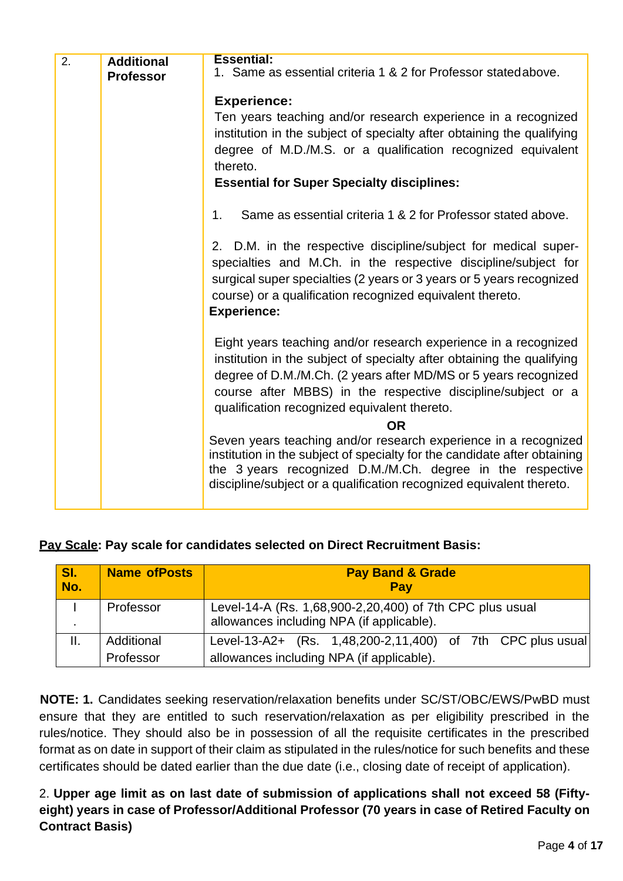| 2. | <b>Additional</b> | <b>Essential:</b><br>1. Same as essential criteria 1 & 2 for Professor stated above.                                                                                                                                                                                                                                         |
|----|-------------------|------------------------------------------------------------------------------------------------------------------------------------------------------------------------------------------------------------------------------------------------------------------------------------------------------------------------------|
|    | <b>Professor</b>  |                                                                                                                                                                                                                                                                                                                              |
|    |                   | <b>Experience:</b>                                                                                                                                                                                                                                                                                                           |
|    |                   | Ten years teaching and/or research experience in a recognized                                                                                                                                                                                                                                                                |
|    |                   | institution in the subject of specialty after obtaining the qualifying                                                                                                                                                                                                                                                       |
|    |                   | degree of M.D./M.S. or a qualification recognized equivalent                                                                                                                                                                                                                                                                 |
|    |                   | thereto.                                                                                                                                                                                                                                                                                                                     |
|    |                   | <b>Essential for Super Specialty disciplines:</b>                                                                                                                                                                                                                                                                            |
|    |                   | Same as essential criteria 1 & 2 for Professor stated above.<br>1.                                                                                                                                                                                                                                                           |
|    |                   | 2. D.M. in the respective discipline/subject for medical super-<br>specialties and M.Ch. in the respective discipline/subject for<br>surgical super specialties (2 years or 3 years or 5 years recognized<br>course) or a qualification recognized equivalent thereto.<br><b>Experience:</b>                                 |
|    |                   | Eight years teaching and/or research experience in a recognized<br>institution in the subject of specialty after obtaining the qualifying<br>degree of D.M./M.Ch. (2 years after MD/MS or 5 years recognized<br>course after MBBS) in the respective discipline/subject or a<br>qualification recognized equivalent thereto. |
|    |                   | <b>OR</b>                                                                                                                                                                                                                                                                                                                    |
|    |                   | Seven years teaching and/or research experience in a recognized<br>institution in the subject of specialty for the candidate after obtaining<br>the 3 years recognized D.M./M.Ch. degree in the respective<br>discipline/subject or a qualification recognized equivalent thereto.                                           |
|    |                   |                                                                                                                                                                                                                                                                                                                              |

|  |  | Pay Scale: Pay scale for candidates selected on Direct Recruitment Basis: |  |  |  |
|--|--|---------------------------------------------------------------------------|--|--|--|
|  |  |                                                                           |  |  |  |

| SI.<br>No. | <b>Name of Posts</b>    | <b>Pay Band &amp; Grade</b><br>Pay                                                                      |
|------------|-------------------------|---------------------------------------------------------------------------------------------------------|
| ٠.         | Professor               | Level-14-A (Rs. 1,68,900-2,20,400) of 7th CPC plus usual<br>allowances including NPA (if applicable).   |
| Ш.         | Additional<br>Professor | Level-13-A2+ (Rs. 1,48,200-2,11,400) of 7th CPC plus usual<br>allowances including NPA (if applicable). |

**NOTE: 1.** Candidates seeking reservation/relaxation benefits under SC/ST/OBC/EWS/PwBD must ensure that they are entitled to such reservation/relaxation as per eligibility prescribed in the rules/notice. They should also be in possession of all the requisite certificates in the prescribed format as on date in support of their claim as stipulated in the rules/notice for such benefits and these certificates should be dated earlier than the due date (i.e., closing date of receipt of application).

2. **Upper age limit as on last date of submission of applications shall not exceed 58 (Fiftyeight) years in case of Professor/Additional Professor (70 years in case of Retired Faculty on Contract Basis)**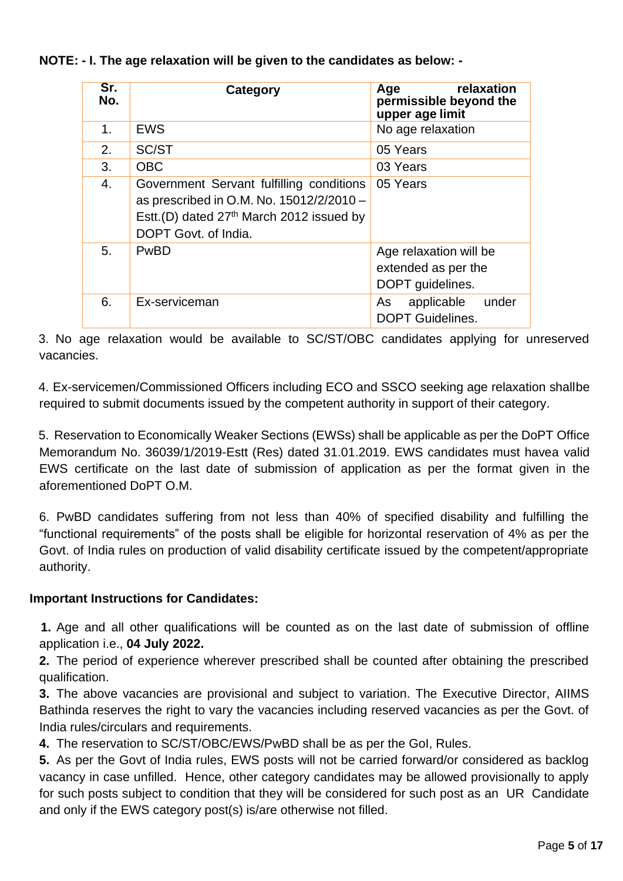**NOTE: - I. The age relaxation will be given to the candidates as below: -**

| Sr.<br>No. | Category                                                                                                                                                             | relaxation<br>Age<br>permissible beyond the<br>upper age limit    |
|------------|----------------------------------------------------------------------------------------------------------------------------------------------------------------------|-------------------------------------------------------------------|
| 1.         | <b>EWS</b>                                                                                                                                                           | No age relaxation                                                 |
| 2.         | SC/ST                                                                                                                                                                | 05 Years                                                          |
| 3.         | <b>OBC</b>                                                                                                                                                           | 03 Years                                                          |
| 4.         | Government Servant fulfilling conditions<br>as prescribed in O.M. No. 15012/2/2010 -<br>Estt.(D) dated 27 <sup>th</sup> March 2012 issued by<br>DOPT Govt. of India. | 05 Years                                                          |
| 5.         | PwBD                                                                                                                                                                 | Age relaxation will be<br>extended as per the<br>DOPT guidelines. |
| 6.         | Ex-serviceman                                                                                                                                                        | applicable<br>under<br>As<br><b>DOPT Guidelines.</b>              |

3. No age relaxation would be available to SC/ST/OBC candidates applying for unreserved vacancies.

4. Ex-servicemen/Commissioned Officers including ECO and SSCO seeking age relaxation shallbe required to submit documents issued by the competent authority in support of their category.

5. Reservation to Economically Weaker Sections (EWSs) shall be applicable as per the DoPT Office Memorandum No. 36039/1/2019-Estt (Res) dated 31.01.2019. EWS candidates must havea valid EWS certificate on the last date of submission of application as per the format given in the aforementioned DoPT O.M.

6. PwBD candidates suffering from not less than 40% of specified disability and fulfilling the "functional requirements" of the posts shall be eligible for horizontal reservation of 4% as per the Govt. of India rules on production of valid disability certificate issued by the competent/appropriate authority.

## **Important Instructions for Candidates:**

**1.** Age and all other qualifications will be counted as on the last date of submission of offline application i.e., **04 July 2022.**

**2.** The period of experience wherever prescribed shall be counted after obtaining the prescribed qualification.

**3.** The above vacancies are provisional and subject to variation. The Executive Director, AIIMS Bathinda reserves the right to vary the vacancies including reserved vacancies as per the Govt. of India rules/circulars and requirements.

**4.** The reservation to SC/ST/OBC/EWS/PwBD shall be as per the GoI, Rules.

**5.** As per the Govt of India rules, EWS posts will not be carried forward/or considered as backlog vacancy in case unfilled. Hence, other category candidates may be allowed provisionally to apply for such posts subject to condition that they will be considered for such post as an UR Candidate and only if the EWS category post(s) is/are otherwise not filled.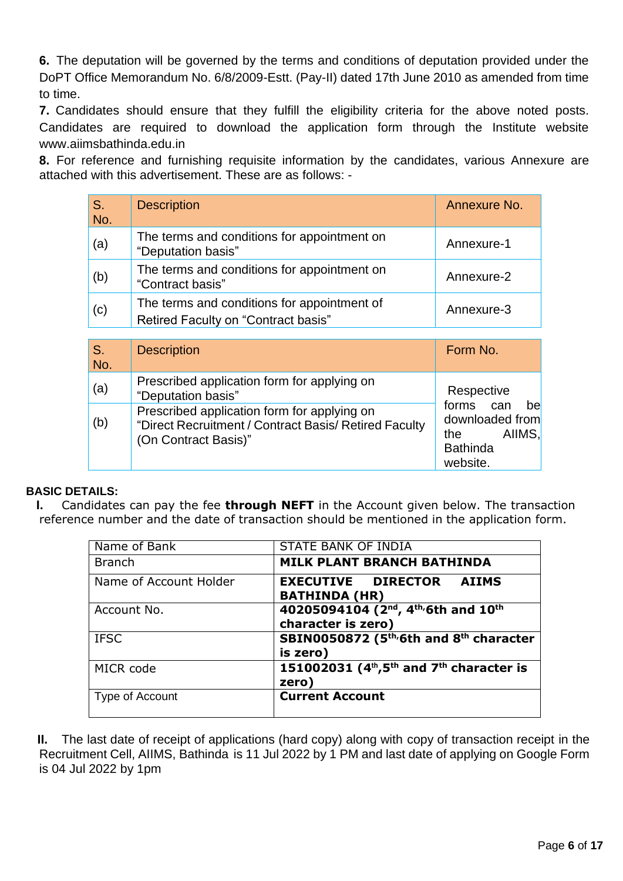**6.** The deputation will be governed by the terms and conditions of deputation provided under the DoPT Office Memorandum No. 6/8/2009-Estt. (Pay-II) dated 17th June 2010 as amended from time to time.

**7.** Candidates should ensure that they fulfill the eligibility criteria for the above noted posts. Candidates are required to download the application form through the Institute website [www.aiimsbathinda.edu.in](http://www.aiimsbathinda.edu.in/)

**8.** For reference and furnishing requisite information by the candidates, various Annexure are attached with this advertisement. These are as follows: -

| S.<br>No. | <b>Description</b>                                                                 | Annexure No. |
|-----------|------------------------------------------------------------------------------------|--------------|
| (a)       | The terms and conditions for appointment on<br>"Deputation basis"                  | Annexure-1   |
| (b)       | The terms and conditions for appointment on<br>"Contract basis"                    | Annexure-2   |
| (c)       | The terms and conditions for appointment of<br>Retired Faculty on "Contract basis" | Annexure-3   |

| S.<br>No. | <b>Description</b>                                                                                                           | Form No.                                                                            |
|-----------|------------------------------------------------------------------------------------------------------------------------------|-------------------------------------------------------------------------------------|
| (a)       | Prescribed application form for applying on<br>"Deputation basis"                                                            | Respective                                                                          |
| (b)       | Prescribed application form for applying on<br>"Direct Recruitment / Contract Basis/ Retired Faculty<br>(On Contract Basis)" | forms can<br>bel<br>downloaded from<br>AIIMS.<br>the<br><b>Bathinda</b><br>website. |

### **BASIC DETAILS:**

**I.** Candidates can pay the fee **through NEFT** in the Account given below. The transaction reference number and the date of transaction should be mentioned in the application form.

| Name of Bank           | STATE BANK OF INDIA                                                                            |
|------------------------|------------------------------------------------------------------------------------------------|
| <b>Branch</b>          | <b>MILK PLANT BRANCH BATHINDA</b>                                                              |
| Name of Account Holder | <b>EXECUTIVE DIRECTOR AIIMS</b><br><b>BATHINDA (HR)</b>                                        |
| Account No.            | 40205094104 (2 <sup>nd</sup> , 4 <sup>th</sup> /6th and 10 <sup>th</sup><br>character is zero) |
| <b>IFSC</b>            | SBIN0050872 (5 <sup>th</sup> /6th and 8 <sup>th</sup> character<br>is zero)                    |
| MICR code              | 151002031 ( $4th$ , $5th$ and $7th$ character is<br>zero)                                      |
| Type of Account        | <b>Current Account</b>                                                                         |

**II.** The last date of receipt of applications (hard copy) along with copy of transaction receipt in the Recruitment Cell, AIIMS, Bathinda is 11 Jul 2022 by 1 PM and last date of applying on Google Form is 04 Jul 2022 by 1pm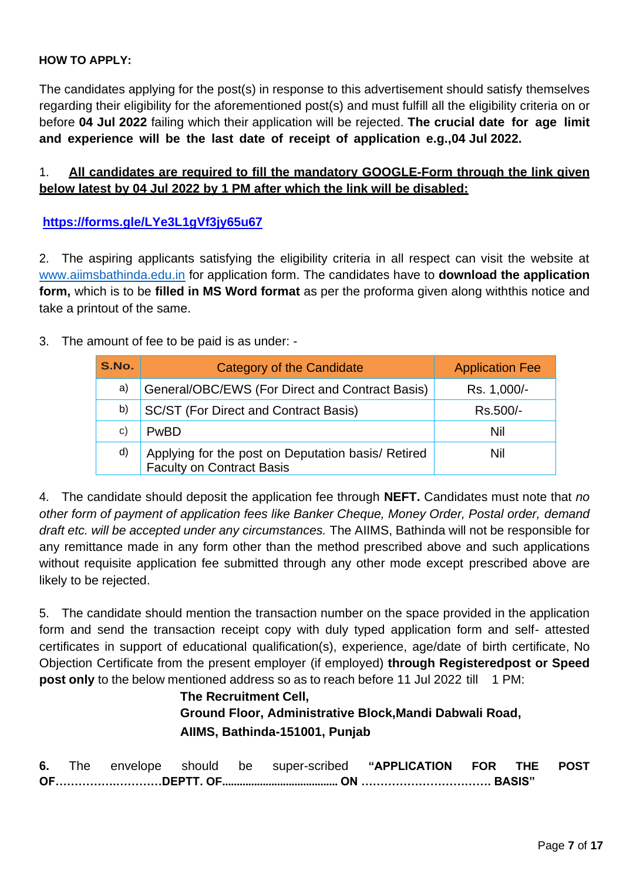### **HOW TO APPLY:**

The candidates applying for the post(s) in response to this advertisement should satisfy themselves regarding their eligibility for the aforementioned post(s) and must fulfill all the eligibility criteria on or before **04 Jul 2022** failing which their application will be rejected. **The crucial date for age limit and experience will be the last date of receipt of application e.g.,04 Jul 2022.**

### 1. **All candidates are required to fill the mandatory GOOGLE-Form through the link given below latest by 04 Jul 2022 by 1 PM after which the link will be disabled:**

**<https://forms.gle/LYe3L1gVf3jy65u67>**

2. The aspiring applicants satisfying the eligibility criteria in all respect can visit the website at [www.aiimsbathinda.edu.in](http://www.aiimsbathinda.edu.in/) for application form. The candidates have to **download the application form,** which is to be **filled in MS Word format** as per the proforma given along withthis notice and take a printout of the same.

3. The amount of fee to be paid is as under: -

| S.No. | Category of the Candidate                                                              | <b>Application Fee</b> |
|-------|----------------------------------------------------------------------------------------|------------------------|
| a)    | General/OBC/EWS (For Direct and Contract Basis)                                        | Rs. 1,000/-            |
| b)    | SC/ST (For Direct and Contract Basis)                                                  | Rs.500/-               |
| C)    | <b>PwBD</b>                                                                            | Nil                    |
| d)    | Applying for the post on Deputation basis/ Retired<br><b>Faculty on Contract Basis</b> | Nil                    |

4. The candidate should deposit the application fee through **NEFT.** Candidates must note that *no other form of payment of application fees like Banker Cheque, Money Order, Postal order, demand draft etc. will be accepted under any circumstances.* The AIIMS, Bathinda will not be responsible for any remittance made in any form other than the method prescribed above and such applications without requisite application fee submitted through any other mode except prescribed above are likely to be rejected.

5. The candidate should mention the transaction number on the space provided in the application form and send the transaction receipt copy with duly typed application form and self- attested certificates in support of educational qualification(s), experience, age/date of birth certificate, No Objection Certificate from the present employer (if employed) **through Registeredpost or Speed post only** to the below mentioned address so as to reach before 11 Jul 2022 till 1 PM:

# **The Recruitment Cell, Ground Floor, Administrative Block,Mandi Dabwali Road, AIIMS, Bathinda-151001, Punjab**

|  |  |  |  |  |  | 6. The envelope should be super-scribed "APPLICATION FOR THE POST |  |  |  |
|--|--|--|--|--|--|-------------------------------------------------------------------|--|--|--|
|  |  |  |  |  |  |                                                                   |  |  |  |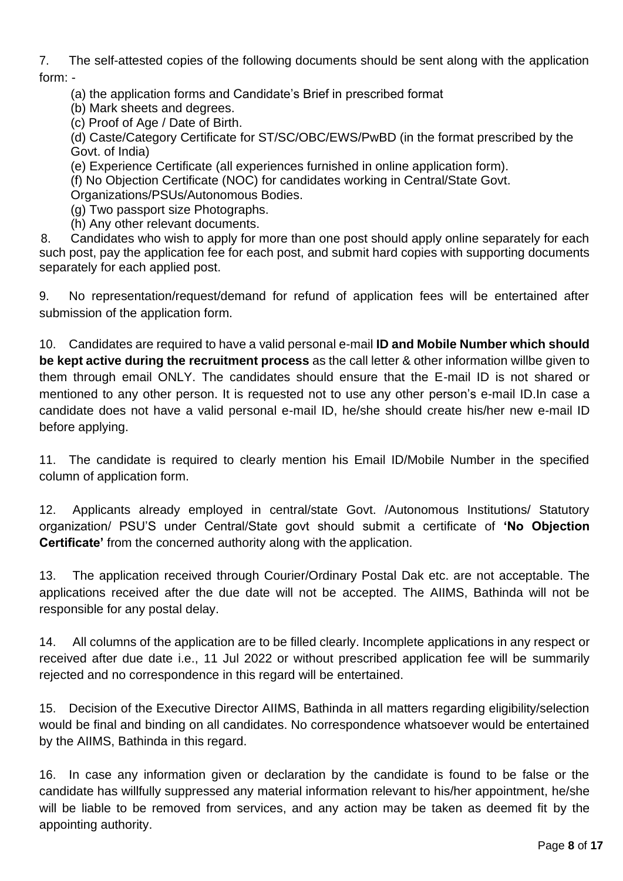7. The self-attested copies of the following documents should be sent along with the application form: -

(a) the application forms and Candidate's Brief in prescribed format

(b) Mark sheets and degrees.

(c) Proof of Age / Date of Birth.

(d) Caste/Category Certificate for ST/SC/OBC/EWS/PwBD (in the format prescribed by the Govt. of India)

(e) Experience Certificate (all experiences furnished in online application form).

(f) No Objection Certificate (NOC) for candidates working in Central/State Govt.

Organizations/PSUs/Autonomous Bodies.

(g) Two passport size Photographs.

(h) Any other relevant documents.

8. Candidates who wish to apply for more than one post should apply online separately for each such post, pay the application fee for each post, and submit hard copies with supporting documents separately for each applied post.

9. No representation/request/demand for refund of application fees will be entertained after submission of the application form.

10. Candidates are required to have a valid personal e-mail **ID and Mobile Number which should be kept active during the recruitment process** as the call letter & other information willbe given to them through email ONLY. The candidates should ensure that the E-mail ID is not shared or mentioned to any other person. It is requested not to use any other person's e-mail ID.In case a candidate does not have a valid personal e-mail ID, he/she should create his/her new e-mail ID before applying.

11. The candidate is required to clearly mention his Email ID/Mobile Number in the specified column of application form.

12. Applicants already employed in central/state Govt. /Autonomous Institutions/ Statutory organization/ PSU'S under Central/State govt should submit a certificate of **'No Objection Certificate'** from the concerned authority along with the application.

13. The application received through Courier/Ordinary Postal Dak etc. are not acceptable. The applications received after the due date will not be accepted. The AIIMS, Bathinda will not be responsible for any postal delay.

14. All columns of the application are to be filled clearly. Incomplete applications in any respect or received after due date i.e., 11 Jul 2022 or without prescribed application fee will be summarily rejected and no correspondence in this regard will be entertained.

15. Decision of the Executive Director AIIMS, Bathinda in all matters regarding eligibility/selection would be final and binding on all candidates. No correspondence whatsoever would be entertained by the AIIMS, Bathinda in this regard.

16. In case any information given or declaration by the candidate is found to be false or the candidate has willfully suppressed any material information relevant to his/her appointment, he/she will be liable to be removed from services, and any action may be taken as deemed fit by the appointing authority.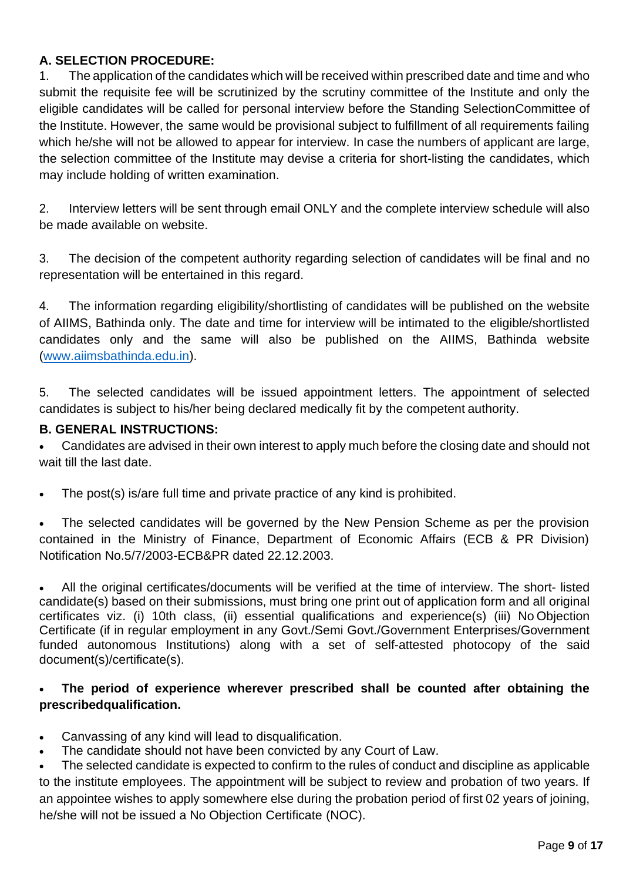## **A. SELECTION PROCEDURE:**

1. The application of the candidates which will be received within prescribed date and time and who submit the requisite fee will be scrutinized by the scrutiny committee of the Institute and only the eligible candidates will be called for personal interview before the Standing SelectionCommittee of the Institute. However, the same would be provisional subject to fulfillment of all requirements failing which he/she will not be allowed to appear for interview. In case the numbers of applicant are large, the selection committee of the Institute may devise a criteria for short-listing the candidates, which may include holding of written examination.

2. Interview letters will be sent through email ONLY and the complete interview schedule will also be made available on website.

3. The decision of the competent authority regarding selection of candidates will be final and no representation will be entertained in this regard.

4. The information regarding eligibility/shortlisting of candidates will be published on the website of AIIMS, Bathinda only. The date and time for interview will be intimated to the eligible/shortlisted candidates only and the same will also be published on the AIIMS, Bathinda website [\(www.aiimsbathinda.edu.in\)](http://www.aiimsbathinda.edu.in/).

5. The selected candidates will be issued appointment letters. The appointment of selected candidates is subject to his/her being declared medically fit by the competent authority.

## **B. GENERAL INSTRUCTIONS:**

• Candidates are advised in their own interest to apply much before the closing date and should not wait till the last date.

• The post(s) is/are full time and private practice of any kind is prohibited.

The selected candidates will be governed by the New Pension Scheme as per the provision contained in the Ministry of Finance, Department of Economic Affairs (ECB & PR Division) Notification No.5/7/2003-ECB&PR dated 22.12.2003.

• All the original certificates/documents will be verified at the time of interview. The short- listed candidate(s) based on their submissions, must bring one print out of application form and all original certificates viz. (i) 10th class, (ii) essential qualifications and experience(s) (iii) No Objection Certificate (if in regular employment in any Govt./Semi Govt./Government Enterprises/Government funded autonomous Institutions) along with a set of self-attested photocopy of the said document(s)/certificate(s).

## • **The period of experience wherever prescribed shall be counted after obtaining the prescribedqualification.**

• Canvassing of any kind will lead to disqualification.

The candidate should not have been convicted by any Court of Law.

The selected candidate is expected to confirm to the rules of conduct and discipline as applicable to the institute employees. The appointment will be subject to review and probation of two years. If an appointee wishes to apply somewhere else during the probation period of first 02 years of joining, he/she will not be issued a No Objection Certificate (NOC).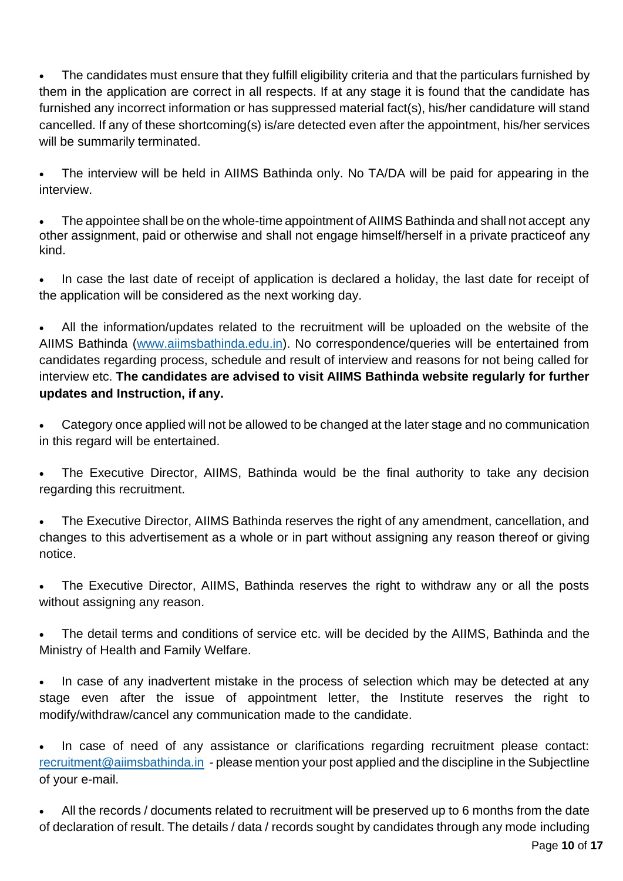The candidates must ensure that they fulfill eligibility criteria and that the particulars furnished by them in the application are correct in all respects. If at any stage it is found that the candidate has furnished any incorrect information or has suppressed material fact(s), his/her candidature will stand cancelled. If any of these shortcoming(s) is/are detected even after the appointment, his/her services will be summarily terminated.

• The interview will be held in AIIMS Bathinda only. No TA/DA will be paid for appearing in the interview.

• The appointee shall be on the whole-time appointment of AIIMS Bathinda and shall not accept any other assignment, paid or otherwise and shall not engage himself/herself in a private practiceof any kind.

In case the last date of receipt of application is declared a holiday, the last date for receipt of the application will be considered as the next working day.

• All the information/updates related to the recruitment will be uploaded on the website of the AIIMS Bathinda [\(www.aiimsbathinda.edu.in\)](http://www.aiimsbathinda.edu.in/). No correspondence/queries will be entertained from candidates regarding process, schedule and result of interview and reasons for not being called for interview etc. **The candidates are advised to visit AIIMS Bathinda website regularly for further updates and Instruction, if any.**

• Category once applied will not be allowed to be changed at the later stage and no communication in this regard will be entertained.

• The Executive Director, AIIMS, Bathinda would be the final authority to take any decision regarding this recruitment.

• The Executive Director, AIIMS Bathinda reserves the right of any amendment, cancellation, and changes to this advertisement as a whole or in part without assigning any reason thereof or giving notice.

• The Executive Director, AIIMS, Bathinda reserves the right to withdraw any or all the posts without assigning any reason.

• The detail terms and conditions of service etc. will be decided by the AIIMS, Bathinda and the Ministry of Health and Family Welfare.

In case of any inadvertent mistake in the process of selection which may be detected at any stage even after the issue of appointment letter, the Institute reserves the right to modify/withdraw/cancel any communication made to the candidate.

In case of need of any assistance or clarifications regarding recruitment please contact: [recruitment@aiimsbathinda.in](mailto:recruitment@aiimsbathinda.in) - please mention your post applied and the discipline in the Subjectline of your e-mail.

• All the records / documents related to recruitment will be preserved up to 6 months from the date of declaration of result. The details / data / records sought by candidates through any mode including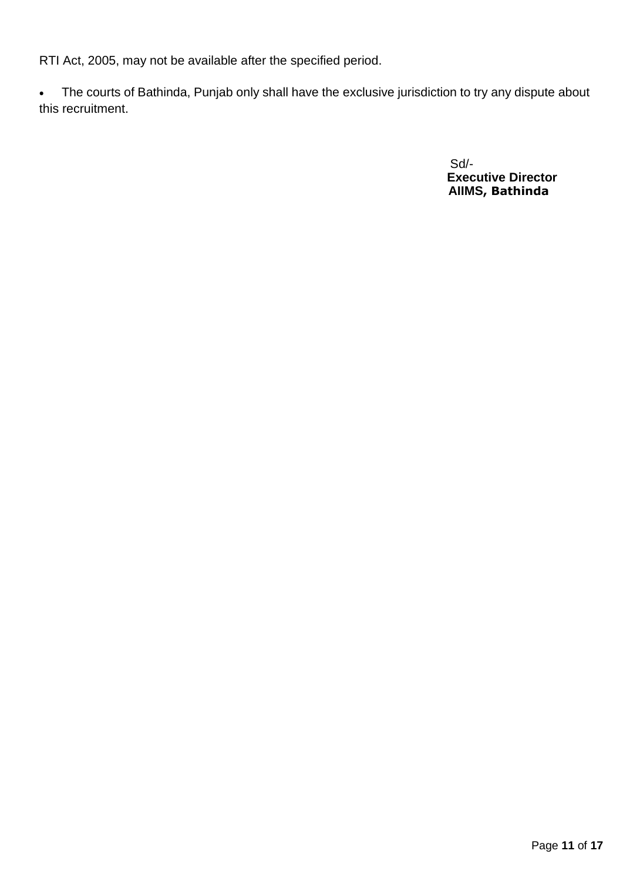RTI Act, 2005, may not be available after the specified period.

• The courts of Bathinda, Punjab only shall have the exclusive jurisdiction to try any dispute about this recruitment.

> Sd/-  **Executive Director AIIMS, Bathinda**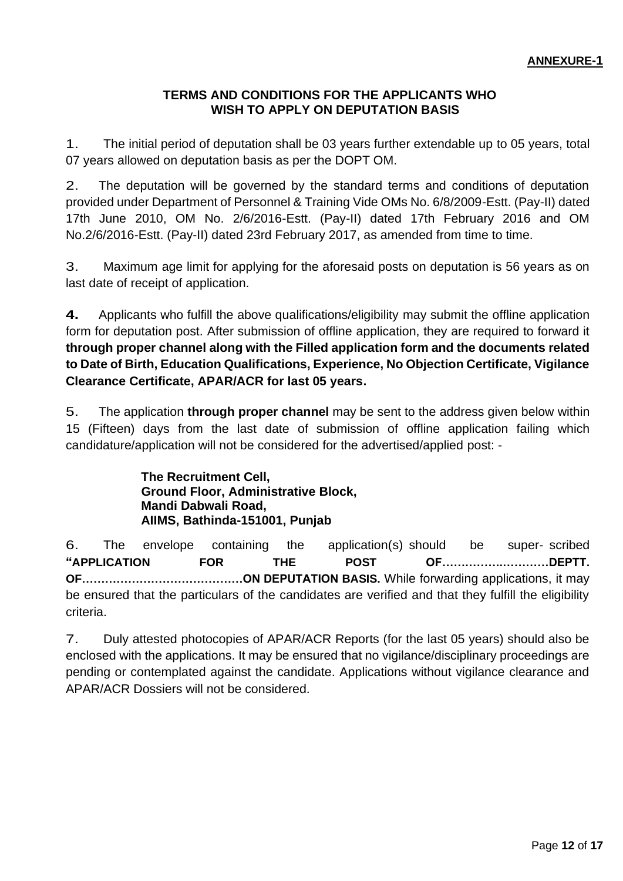### **TERMS AND CONDITIONS FOR THE APPLICANTS WHO WISH TO APPLY ON DEPUTATION BASIS**

1. The initial period of deputation shall be 03 years further extendable up to 05 years, total 07 years allowed on deputation basis as per the DOPT OM.

2. The deputation will be governed by the standard terms and conditions of deputation provided under Department of Personnel & Training Vide OMs No. 6/8/2009-Estt. (Pay-II) dated 17th June 2010, OM No. 2/6/2016-Estt. (Pay-II) dated 17th February 2016 and OM No.2/6/2016-Estt. (Pay-II) dated 23rd February 2017, as amended from time to time.

3. Maximum age limit for applying for the aforesaid posts on deputation is 56 years as on last date of receipt of application.

**4.** Applicants who fulfill the above qualifications/eligibility may submit the offline application form for deputation post. After submission of offline application, they are required to forward it **through proper channel along with the Filled application form and the documents related to Date of Birth, Education Qualifications, Experience, No Objection Certificate, Vigilance Clearance Certificate, APAR/ACR for last 05 years.**

5. The application **through proper channel** may be sent to the address given below within 15 (Fifteen) days from the last date of submission of offline application failing which candidature/application will not be considered for the advertised/applied post: -

> **The Recruitment Cell, Ground Floor, Administrative Block, Mandi Dabwali Road, AIIMS, Bathinda-151001, Punjab**

6. The envelope containing the application(s) should be super- scribed **"APPLICATION FOR THE POST OF…………….…………DEPTT. OF……………………………………ON DEPUTATION BASIS.** While forwarding applications, it may be ensured that the particulars of the candidates are verified and that they fulfill the eligibility criteria.

7. Duly attested photocopies of APAR/ACR Reports (for the last 05 years) should also be enclosed with the applications. It may be ensured that no vigilance/disciplinary proceedings are pending or contemplated against the candidate. Applications without vigilance clearance and APAR/ACR Dossiers will not be considered.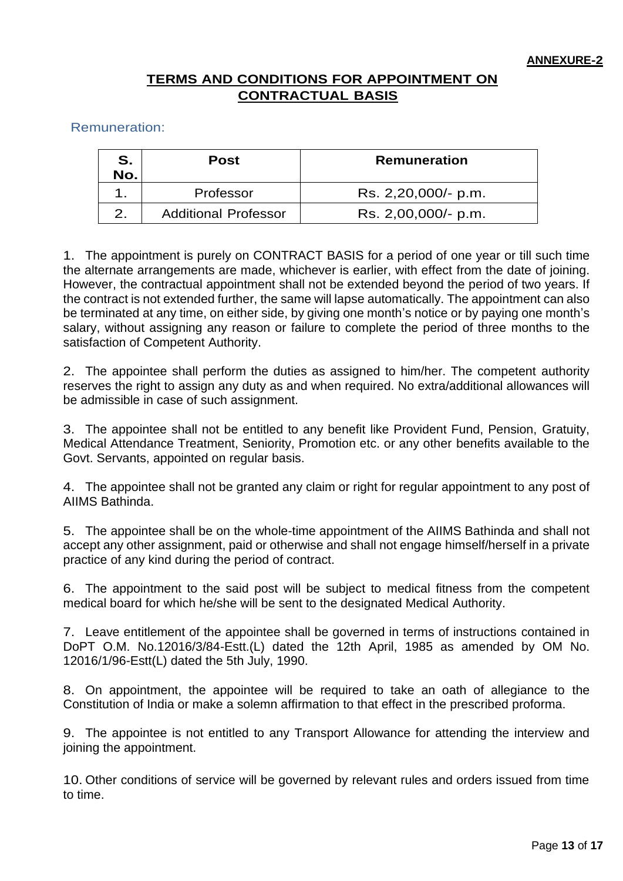# **TERMS AND CONDITIONS FOR APPOINTMENT ON CONTRACTUAL BASIS**

Remuneration:

| S.<br>No. | Post                        | <b>Remuneration</b> |  |
|-----------|-----------------------------|---------------------|--|
|           | Professor                   | Rs. 2,20,000/- p.m. |  |
|           | <b>Additional Professor</b> | Rs. 2,00,000/- p.m. |  |

1. The appointment is purely on CONTRACT BASIS for a period of one year or till such time the alternate arrangements are made, whichever is earlier, with effect from the date of joining. However, the contractual appointment shall not be extended beyond the period of two years. If the contract is not extended further, the same will lapse automatically. The appointment can also be terminated at any time, on either side, by giving one month's notice or by paying one month's salary, without assigning any reason or failure to complete the period of three months to the satisfaction of Competent Authority.

2. The appointee shall perform the duties as assigned to him/her. The competent authority reserves the right to assign any duty as and when required. No extra/additional allowances will be admissible in case of such assignment.

3. The appointee shall not be entitled to any benefit like Provident Fund, Pension, Gratuity, Medical Attendance Treatment, Seniority, Promotion etc. or any other benefits available to the Govt. Servants, appointed on regular basis.

4. The appointee shall not be granted any claim or right for regular appointment to any post of AIIMS Bathinda.

5. The appointee shall be on the whole-time appointment of the AIIMS Bathinda and shall not accept any other assignment, paid or otherwise and shall not engage himself/herself in a private practice of any kind during the period of contract.

6. The appointment to the said post will be subject to medical fitness from the competent medical board for which he/she will be sent to the designated Medical Authority.

7. Leave entitlement of the appointee shall be governed in terms of instructions contained in DoPT O.M. No.12016/3/84-Estt.(L) dated the 12th April, 1985 as amended by OM No. 12016/1/96-Estt(L) dated the 5th July, 1990.

8. On appointment, the appointee will be required to take an oath of allegiance to the Constitution of India or make a solemn affirmation to that effect in the prescribed proforma.

9. The appointee is not entitled to any Transport Allowance for attending the interview and joining the appointment.

10. Other conditions of service will be governed by relevant rules and orders issued from time to time.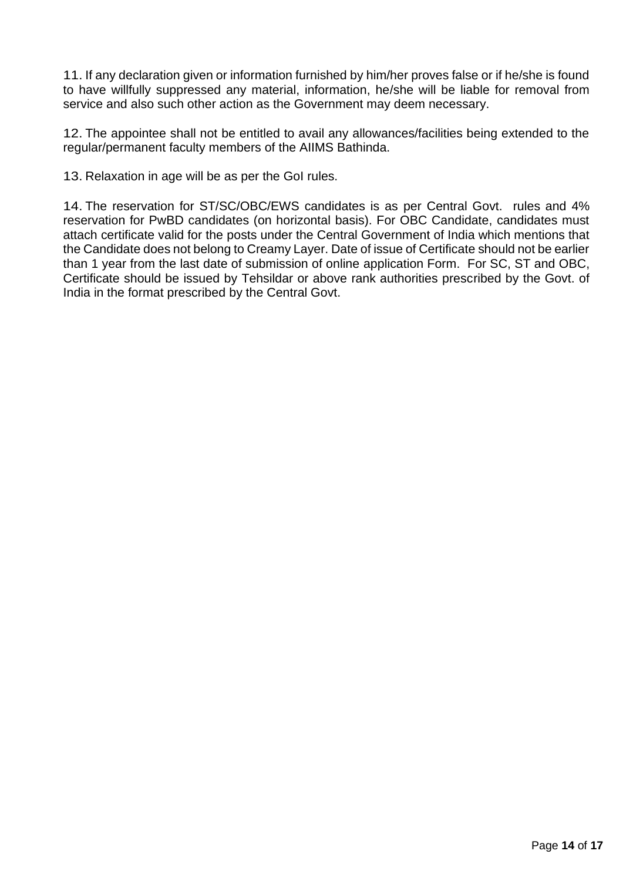11. If any declaration given or information furnished by him/her proves false or if he/she is found to have willfully suppressed any material, information, he/she will be liable for removal from service and also such other action as the Government may deem necessary.

12. The appointee shall not be entitled to avail any allowances/facilities being extended to the regular/permanent faculty members of the AIIMS Bathinda.

13. Relaxation in age will be as per the GoI rules.

14. The reservation for ST/SC/OBC/EWS candidates is as per Central Govt. rules and 4% reservation for PwBD candidates (on horizontal basis). For OBC Candidate, candidates must attach certificate valid for the posts under the Central Government of India which mentions that the Candidate does not belong to Creamy Layer. Date of issue of Certificate should not be earlier than 1 year from the last date of submission of online application Form. For SC, ST and OBC, Certificate should be issued by Tehsildar or above rank authorities prescribed by the Govt. of India in the format prescribed by the Central Govt.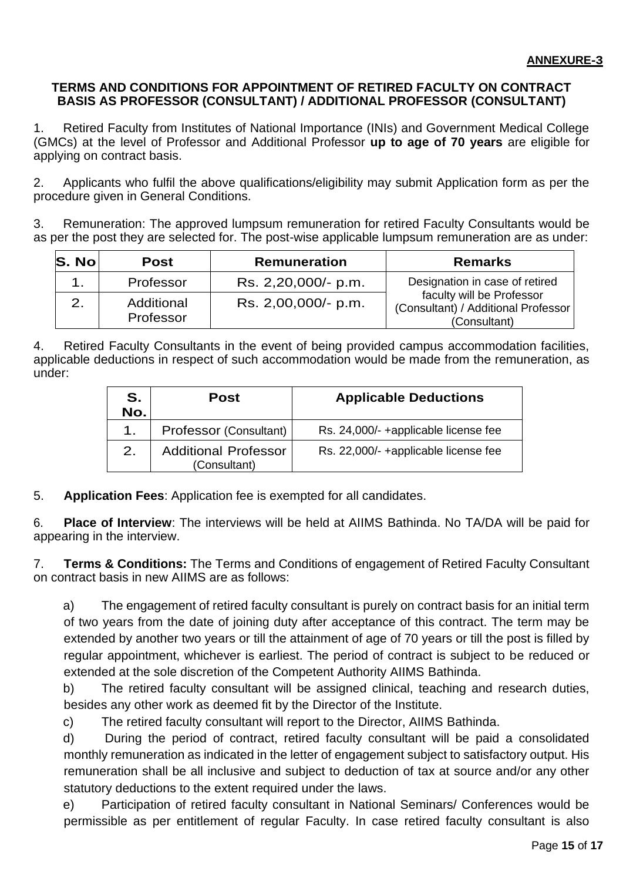### **TERMS AND CONDITIONS FOR APPOINTMENT OF RETIRED FACULTY ON CONTRACT BASIS AS PROFESSOR (CONSULTANT) / ADDITIONAL PROFESSOR (CONSULTANT)**

1. Retired Faculty from Institutes of National Importance (INIs) and Government Medical College (GMCs) at the level of Professor and Additional Professor **up to age of 70 years** are eligible for applying on contract basis.

2. Applicants who fulfil the above qualifications/eligibility may submit Application form as per the procedure given in General Conditions.

3. Remuneration: The approved lumpsum remuneration for retired Faculty Consultants would be as per the post they are selected for. The post-wise applicable lumpsum remuneration are as under:

| S. No | <b>Post</b>             | <b>Remuneration</b> | <b>Remarks</b>                                                                   |  |
|-------|-------------------------|---------------------|----------------------------------------------------------------------------------|--|
|       | Professor               | Rs. 2,20,000/- p.m. | Designation in case of retired                                                   |  |
|       | Additional<br>Professor | Rs. 2,00,000/- p.m. | faculty will be Professor<br>(Consultant) / Additional Professor<br>(Consultant) |  |

4. Retired Faculty Consultants in the event of being provided campus accommodation facilities, applicable deductions in respect of such accommodation would be made from the remuneration, as under:

| S.<br>No. | Post                                        | <b>Applicable Deductions</b>         |  |
|-----------|---------------------------------------------|--------------------------------------|--|
| 1.        | Professor (Consultant)                      | Rs. 24,000/- +applicable license fee |  |
| 2.        | <b>Additional Professor</b><br>(Consultant) | Rs. 22,000/- +applicable license fee |  |

5. **Application Fees**: Application fee is exempted for all candidates.

6. **Place of Interview**: The interviews will be held at AIIMS Bathinda. No TA/DA will be paid for appearing in the interview.

7. **Terms & Conditions:** The Terms and Conditions of engagement of Retired Faculty Consultant on contract basis in new AIIMS are as follows:

a) The engagement of retired faculty consultant is purely on contract basis for an initial term of two years from the date of joining duty after acceptance of this contract. The term may be extended by another two years or till the attainment of age of 70 years or till the post is filled by regular appointment, whichever is earliest. The period of contract is subject to be reduced or extended at the sole discretion of the Competent Authority AIIMS Bathinda.

b) The retired faculty consultant will be assigned clinical, teaching and research duties, besides any other work as deemed fit by the Director of the Institute.

c) The retired faculty consultant will report to the Director, AIIMS Bathinda.

d) During the period of contract, retired faculty consultant will be paid a consolidated monthly remuneration as indicated in the letter of engagement subject to satisfactory output. His remuneration shall be all inclusive and subject to deduction of tax at source and/or any other statutory deductions to the extent required under the laws.

e) Participation of retired faculty consultant in National Seminars/ Conferences would be permissible as per entitlement of regular Faculty. In case retired faculty consultant is also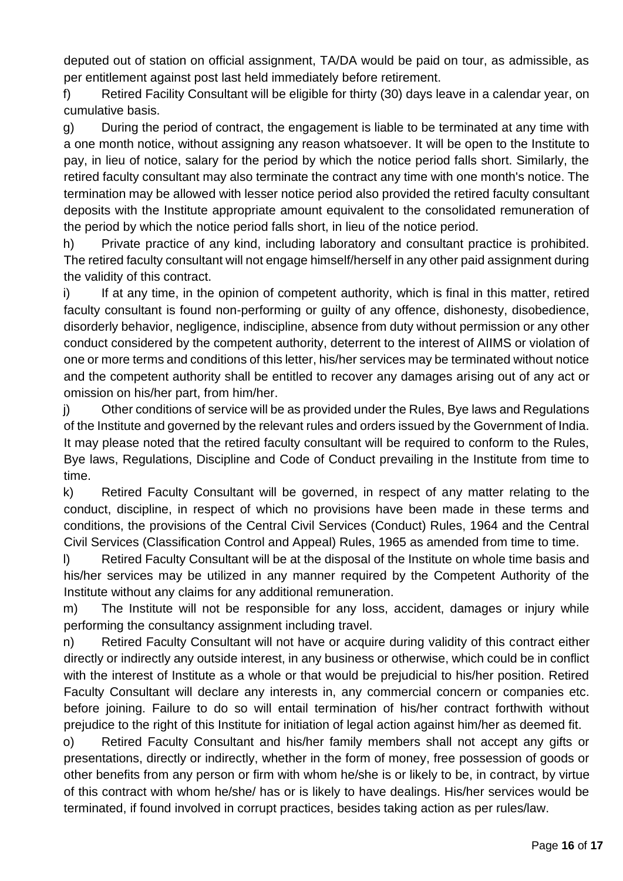deputed out of station on official assignment, TA/DA would be paid on tour, as admissible, as per entitlement against post last held immediately before retirement.

f) Retired Facility Consultant will be eligible for thirty (30) days leave in a calendar year, on cumulative basis.

g) During the period of contract, the engagement is liable to be terminated at any time with a one month notice, without assigning any reason whatsoever. It will be open to the Institute to pay, in lieu of notice, salary for the period by which the notice period falls short. Similarly, the retired faculty consultant may also terminate the contract any time with one month's notice. The termination may be allowed with lesser notice period also provided the retired faculty consultant deposits with the Institute appropriate amount equivalent to the consolidated remuneration of the period by which the notice period falls short, in lieu of the notice period.

h) Private practice of any kind, including laboratory and consultant practice is prohibited. The retired faculty consultant will not engage himself/herself in any other paid assignment during the validity of this contract.

i) If at any time, in the opinion of competent authority, which is final in this matter, retired faculty consultant is found non-performing or guilty of any offence, dishonesty, disobedience, disorderly behavior, negligence, indiscipline, absence from duty without permission or any other conduct considered by the competent authority, deterrent to the interest of AIIMS or violation of one or more terms and conditions of this letter, his/her services may be terminated without notice and the competent authority shall be entitled to recover any damages arising out of any act or omission on his/her part, from him/her.

j) Other conditions of service will be as provided under the Rules, Bye laws and Regulations of the Institute and governed by the relevant rules and orders issued by the Government of India. It may please noted that the retired faculty consultant will be required to conform to the Rules, Bye laws, Regulations, Discipline and Code of Conduct prevailing in the Institute from time to time.

k) Retired Faculty Consultant will be governed, in respect of any matter relating to the conduct, discipline, in respect of which no provisions have been made in these terms and conditions, the provisions of the Central Civil Services (Conduct) Rules, 1964 and the Central Civil Services (Classification Control and Appeal) Rules, 1965 as amended from time to time.

l) Retired Faculty Consultant will be at the disposal of the Institute on whole time basis and his/her services may be utilized in any manner required by the Competent Authority of the Institute without any claims for any additional remuneration.

m) The Institute will not be responsible for any loss, accident, damages or injury while performing the consultancy assignment including travel.

n) Retired Faculty Consultant will not have or acquire during validity of this contract either directly or indirectly any outside interest, in any business or otherwise, which could be in conflict with the interest of Institute as a whole or that would be prejudicial to his/her position. Retired Faculty Consultant will declare any interests in, any commercial concern or companies etc. before joining. Failure to do so will entail termination of his/her contract forthwith without prejudice to the right of this Institute for initiation of legal action against him/her as deemed fit.

o) Retired Faculty Consultant and his/her family members shall not accept any gifts or presentations, directly or indirectly, whether in the form of money, free possession of goods or other benefits from any person or firm with whom he/she is or likely to be, in contract, by virtue of this contract with whom he/she/ has or is likely to have dealings. His/her services would be terminated, if found involved in corrupt practices, besides taking action as per rules/law.